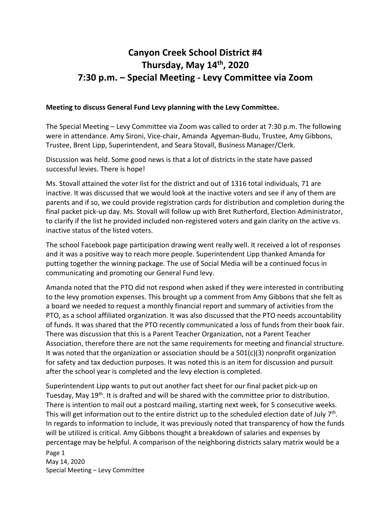## **Canyon Creek School District #4 Thursday, May 14th, 2020 7:30 p.m. – Special Meeting - Levy Committee via Zoom**

## **Meeting to discuss General Fund Levy planning with the Levy Committee.**

The Special Meeting – Levy Committee via Zoom was called to order at 7:30 p.m. The following were in attendance. Amy Sironi, Vice-chair, Amanda Agyeman-Budu, Trustee, Amy Gibbons, Trustee, Brent Lipp, Superintendent, and Seara Stovall, Business Manager/Clerk.

Discussion was held. Some good news is that a lot of districts in the state have passed successful levies. There is hope!

Ms. Stovall attained the voter list for the district and out of 1316 total individuals, 71 are inactive. It was discussed that we would look at the inactive voters and see if any of them are parents and if so, we could provide registration cards for distribution and completion during the final packet pick-up day. Ms. Stovall will follow up with Bret Rutherford, Election Administrator, to clarify if the list he provided included non-registered voters and gain clarity on the active vs. inactive status of the listed voters.

The school Facebook page participation drawing went really well. It received a lot of responses and it was a positive way to reach more people. Superintendent Lipp thanked Amanda for putting together the winning package. The use of Social Media will be a continued focus in communicating and promoting our General Fund levy.

Amanda noted that the PTO did not respond when asked if they were interested in contributing to the levy promotion expenses. This brought up a comment from Amy Gibbons that she felt as a board we needed to request a monthly financial report and summary of activities from the PTO, as a school affiliated organization. It was also discussed that the PTO needs accountability of funds. It was shared that the PTO recently communicated a loss of funds from their book fair. There was discussion that this is a Parent Teacher Organization, not a Parent Teacher Association, therefore there are not the same requirements for meeting and financial structure. It was noted that the organization or association should be a  $501(c)(3)$  nonprofit organization for safety and tax deduction purposes. It was noted this is an item for discussion and pursuit after the school year is completed and the levy election is completed.

Page 1 Superintendent Lipp wants to put out another fact sheet for our final packet pick-up on Tuesday, May 19<sup>th</sup>. It is drafted and will be shared with the committee prior to distribution. There is intention to mail out a postcard mailing, starting next week, for 5 consecutive weeks. This will get information out to the entire district up to the scheduled election date of July  $7<sup>th</sup>$ . In regards to information to include, it was previously noted that transparency of how the funds will be utilized is critical. Amy Gibbons thought a breakdown of salaries and expenses by percentage may be helpful. A comparison of the neighboring districts salary matrix would be a

May 14, 2020 Special Meeting – Levy Committee